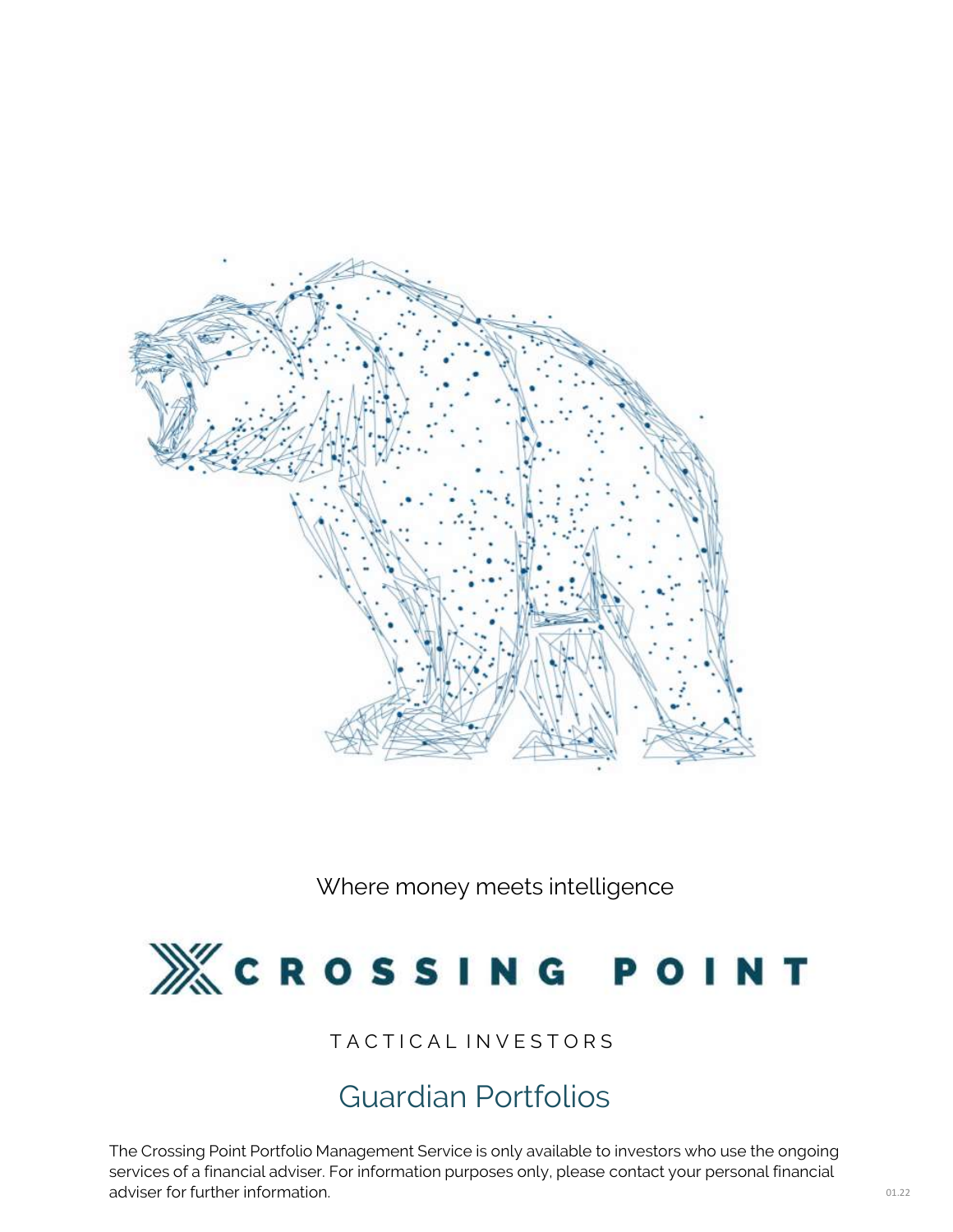

Where money meets intelligence



### TACTICAL INVESTORS

## Guardian Portfolios

The Crossing Point Portfolio Management Service is only available to investors who use the ongoing services of a financial adviser. For information purposes only, please contact your personal financial adviser for further information.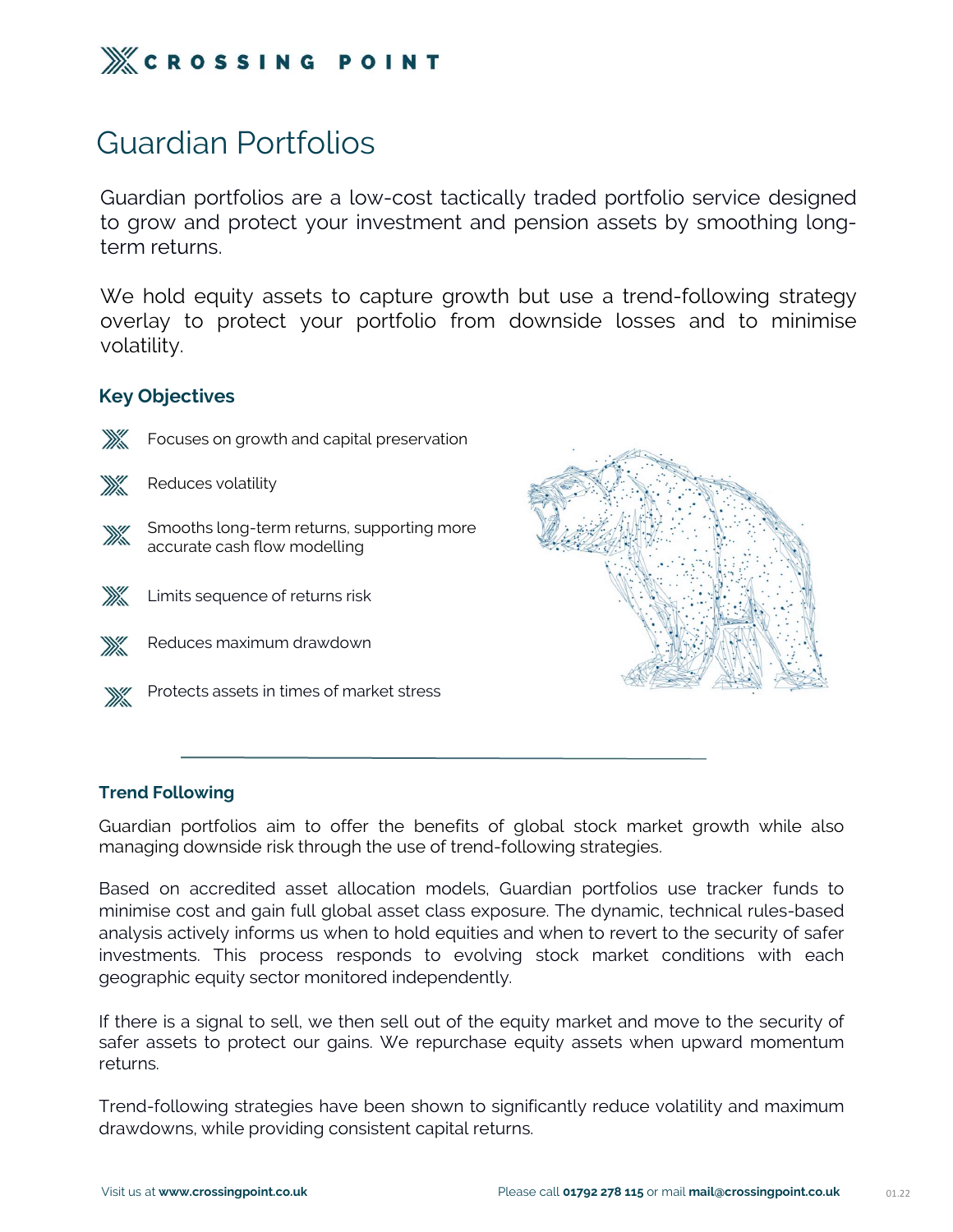

## Guardian Portfolios

**Example 19 Access 18 Access 18 Access Access**<br>Guardian portfolios are a low-cost tactically traded portfolio service designed<br>to grow and protect your investment and pension assets by smoothing long-<br>term returns. **the group of the group and proton set of the set of the Guardian Portfolios**<br>Guardian portfolios are a low-cost tactically traded portfolio service designed<br>to grow and protect your investment and pension assets by smooth **Example 18 SET NG POIT**<br>Guardian Portfolios<br>Guardian portfolios are a low-co<br>to grow and protect your inves<br>term returns.<br>We hold equity assets to capt Guardian Portfolios<br>Guardian portfolios are a low-cost tactically traded portfolio service designed<br>to grow and protect your investment and pension assets by smoothing long-<br>term returns.<br>We hold equity assets to capture g Guardian Portfolios<br>
Guardian portfolios are a low-cost tactically traded portfolio service designed<br>
to grow and protect your investment and pension assets by smoothing long-<br>
term returns.<br>
We hold equity assets to captu

volatility.

### Key Objectives



Focuses on growth and capital preservation



Reduces volatility





- Reduces maximum drawdown
- Protects assets in times of market stress



Max Emiles Sequence of Following<br>
Max Reduces maximum drawdown<br>
Max Protects assets in times of market s<br>
Trend Following<br>
Guardian portfolios aim to offer the Guardian portfolios aim to offer the benefits of global stock market growth while also<br>
Trend Following<br>
Guardian portfolios aim to offer the benefits of global stock market growth while also<br>
managing downside risk throug managing downside risk through the use of trend-following<br>
Trend Following<br>
Guardian portfolios aim to offer the benefits of global stock market growth while als<br>
managing downside risk through the use of trend-following s

Frend Following<br>Guardian portfolios aim to offer the benefits of global stock market growth while also<br>managing downside risk through the use of trend-following strategies.<br>Based on accredited asset allocation models, Guar Trend Following<br>Guardian portfolios aim to offer the benefits of global stock market growth while also<br>managing downside risk through the use of trend-following strategies.<br>Based on accredited asset allocation models, Guar **Trend Following**<br> **Guardian portfolios aim to offer the benefits of global stock market growth while also<br>
managing downside risk through the use of trend-following strategies.<br>
Based on accredited asset allocation models** Trend Following<br>Guardian portfolios aim to offer the benefits of global stock market growth while also<br>managing downside risk through the use of trend-following strategies.<br>Based on accredited asset allocation models, Guar Trend Following<br>Guardian portfolios aim to offer the benefits of global stock m<br>managing downside risk through the use of trend-following strategi<br>Based on accredited asset allocation models, Guardian portfoli<br>minimise cos Dramaging downside risk through the use of trend-following strategies.<br>
Based on accredited asset allocation models, Guardian portfolios use tracker funds to<br>
minimise cost and gain full global asset class exposure. The dy managing advision is through the ase of trend following structgies.<br>Based on accredited asset allocation models, Guardian portfolios use tracker funds to<br>minimise cost and gain full global asset class exposure. The dynamic mimmare cost and gain rad good dosed caset class exposare. The dynamic, technical rades based analysis actively informs us when to hold equities and when to revert to the security of safer investments. This process respond

returns. drawdowns, while providing consistent capital returns.<br>Investments. This process responds to evolving stock market conditionally<br>geographic equity sector monitored independently.<br>If there is a signal to sell, we then sell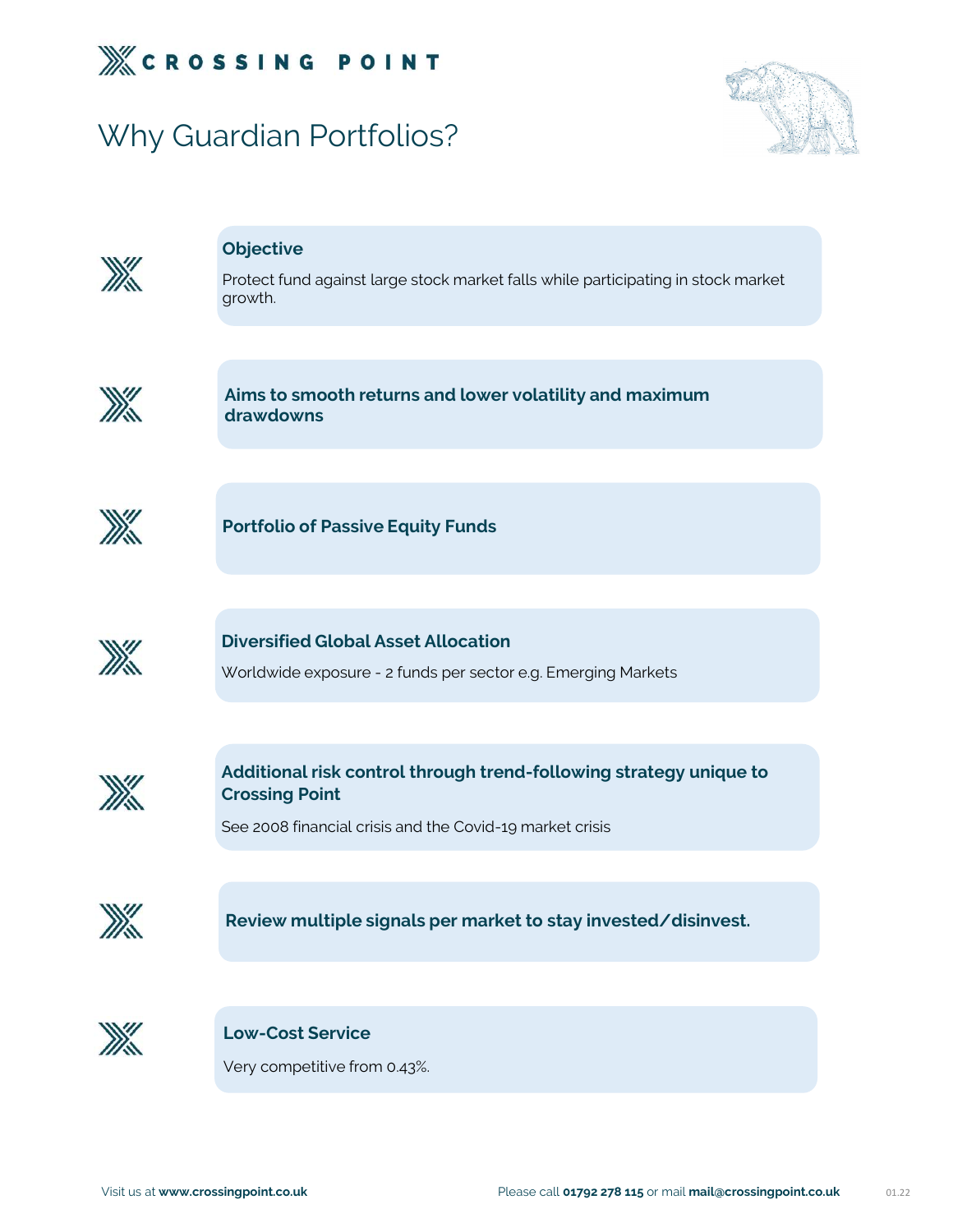

# Why Guardian Portfolios?





### **Objective**

Protect fund against large stock market falls while participating in stock market growth.



Aims to smooth returns and lower volatility and maximum drawdowns



Portfolio of Passive Equity Funds



**Portfolio of Passive Equity Funds<br>Diversified Global Asset Allocation<br>Worldwide exposure - 2 funds per sector e.g. Emerging Markets** Portfolio of Passive Equity Funds<br>Diversified Global Asset Allocation<br>Worldwide exposure - 2 funds per sector e.g. Emerging Markets



Additional risk control through trend-following strategy unique to Crossing Point

See 2008 financial crisis and the Covid-19 market crisis



Review multiple signals per market to s<br>Low-Cost Service<br>Very competitive from 0.43%. Review multiple signals per market to stay invested/disinvest.



Very competitive from 0.43%.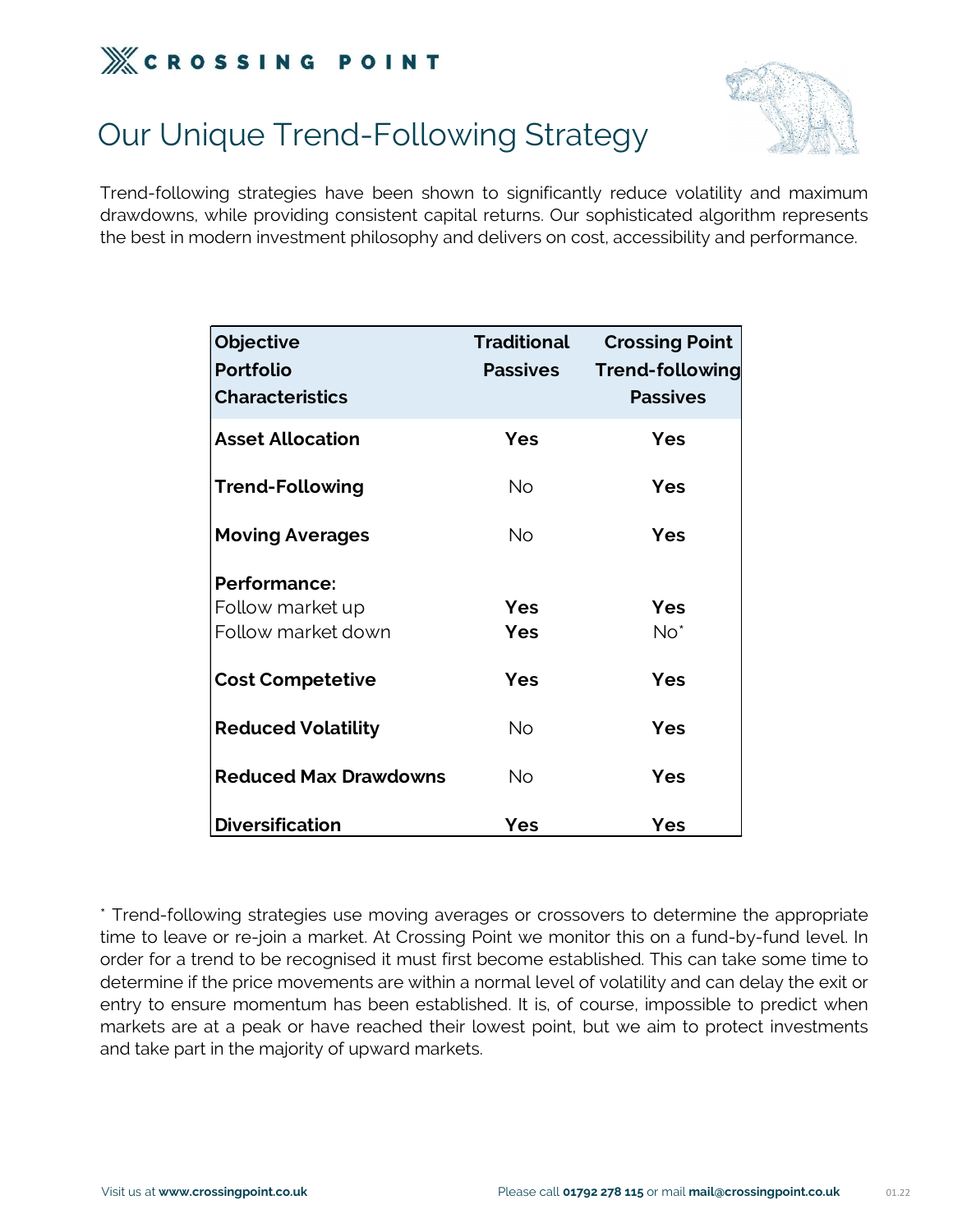



# Our Unique Trend-Following Strategy

**EXECT ASSING POINT**<br>Our Unique Trend-Following Strategy<br>Trend-following strategies have been shown to significantly reduce volatility and maximum<br>drawdowns, while providing consistent capital returns. Our sophisticated al **Example 19 STATE COMMANDER CONSISTENT**<br>Our Unique Trend-Following Strategy<br>Trend-following strategies have been shown to significantly reduce volatility and maximum<br>drawdowns, while providing consistent capital returns. O **Example 18 SOCK IN STEP OF A SUMPLE POLO CONTROLLY AND SET COLON INTIA CONTROLLY**<br>Trend-following strategies have been shown to significantly reduce volatility and maximum<br>drawdowns, while providing consistent capital ret Objective Traditional Crossing Point<br>
Crossing Strategies have been shown to significantly reduce volatility and maximu<br>
dern investment philosophy and delivers on cost, accessibility and performance<br>
Objective Traditional

| Objective<br><b>Portfolio</b> | <b>Traditional</b><br><b>Passives</b> | <b>Crossing Point</b><br>Trend-following |
|-------------------------------|---------------------------------------|------------------------------------------|
| <b>Characteristics</b>        |                                       | <b>Passives</b>                          |
| <b>Asset Allocation</b>       | Yes                                   | <b>Yes</b>                               |
| <b>Trend-Following</b>        | <b>No</b>                             | <b>Yes</b>                               |
| <b>Moving Averages</b>        | <b>No</b>                             | <b>Yes</b>                               |
| <b>Performance:</b>           |                                       |                                          |
| Follow market up              | <b>Yes</b>                            | <b>Yes</b>                               |
| Follow market down            | <b>Yes</b>                            | $No*$                                    |
| <b>Cost Competetive</b>       | <b>Yes</b>                            | <b>Yes</b>                               |
| <b>Reduced Volatility</b>     | <b>No</b>                             | <b>Yes</b>                               |
| <b>Reduced Max Drawdowns</b>  | <b>No</b>                             | <b>Yes</b>                               |
| <b>Diversification</b>        | <b>Yes</b>                            | <b>Yes</b>                               |

**Reduced Max Drawdowns**<br> **The difference of the Market or Ves**<br> **The difference of the Market Street or re-join a market. At Crossing Point we monitor this on a fund-by-fund level. In<br>
order for a trend to be recognised it Reduced Max Drawdowns** No **Yes**<br> **Origins in the recognise of the recognise of the recognise of the external term**<br>
Trend-following strategies use moving averages or crossovers to determine the appropriate<br>
time to leave **Diversification**<br> **Diversification**<br>
Trend-following strategies use moving averages or crossovers to determine the appropriate<br>
time to leave or re-join a market. At Crossing Point we monitor this on a fund-by-fund level. **Diversification**<br> **Pes**<br> **Performant Confidence in the appropriate**<br> **Performant Confidence in the appropriate**<br> **Performant Confidence in the propriate in that first become established. This can take some time to<br>
determ** Trend-following strategies use moving averages or crossovers to determine the appropriate time to leave or re-join a market. At Crossing Point we monitor this on a fund-by-fund level. In order for a trend to be recognised \* Trend-following strategies use moving averages or crossovers to d<br>time to leave or re-join a market. At Crossing Point we monitor this or<br>order for a trend to be recognised it must first become established. Th<br>determine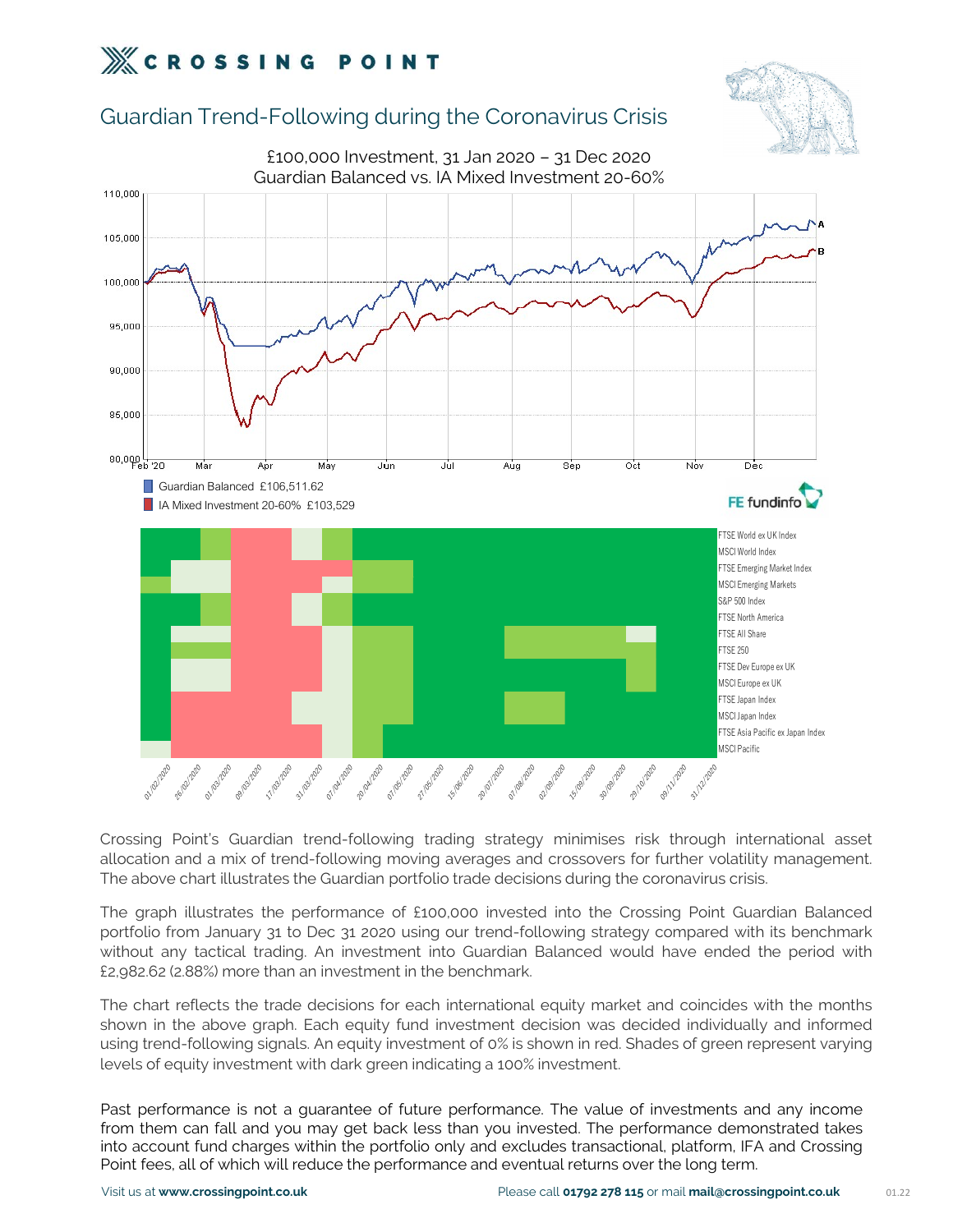### Guardian Trend-Following during the Coronavirus Crisis



portfolio from January 31 to Dec 31 2020 using our trend-following fractagy minimises risk through international asset allocation and a mix of trend-following moving averages and crossovers for further volatility managemen Expecting point and a mix of trend-following trading strategy minimises risk through international asset<br>allocation and a mix of trend-following moving averages and crossovers for further volatility management.<br>The above Expedianced would have the cluster in the shows craph. Fach equity fund investment decision was decided in the shown in the shows craph. Fach equity fund investment decision was decided in the change of the change of the Crossing Point's Guardian trend-following trading strategy minimises risk through international asset<br>allocation and a mix of trend-following moving averages and crossovers for further volatility management.<br>The above char Crossing Point's Guardian trend-following trading strategy minimises risk through international asset<br>allocation and a mix of trend-following moving averages and crossovers for further volatility management.<br>The above cha allocation and a mix of trend-following moving averages and crossovers for further volatility management.<br>The above chart illustrates the Guardian portfolio trade decisions during the coronavirus crisis.<br>The graph illustra The above chart illustrates the Guardian portfolio trade decisions during the coronavirus crisis.<br>The graph illustrates the performance of £100,000 invested into the Crossing Point Guardia<br>portfolio from January 31 to Dec

more year and a guarantee of the performance is not a guarantee of the value of the value of the sections of the period with the period with any tactical trading. An investment into Guardian Balanced would have ended the p periodion to find and you may get back less than you invested. The performance with the period with the period with<br>thout any tactical trading. An investment into Guardian Balanced would have ended the period with<br>fz.982.6 windum any ideal trading. And investment into durational batalitical valuation any estimate with the months shown in the above graph. Each equity fund investment decision was decided individually and informed using trend-f Ex. 1962.02 (2.06%) filter than an investiment in the benchmark.<br>
The chart reflects the trade decisions for each international equity market and coincides with the months<br>
shown in the above graph. Each equity investment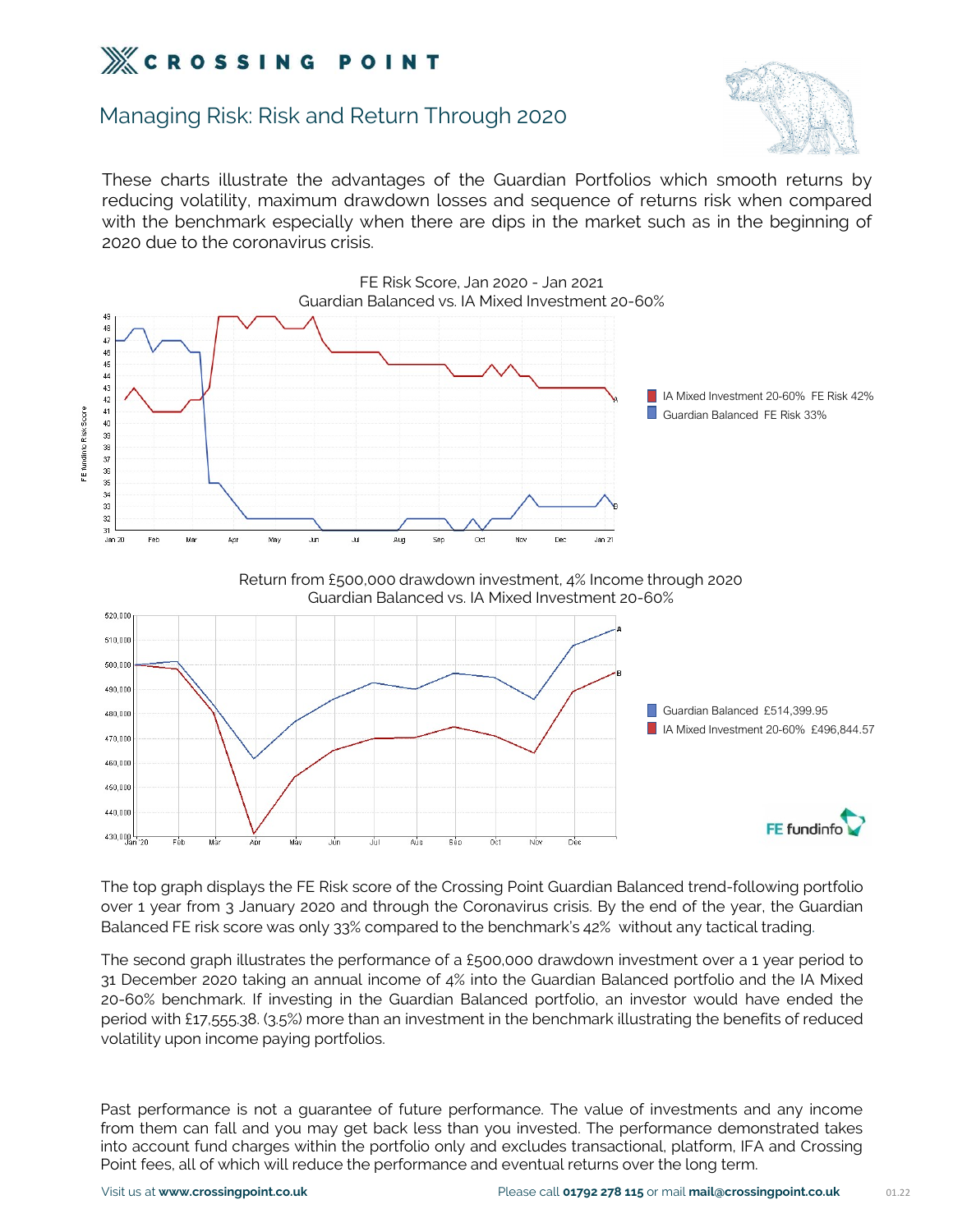### Managing Risk: Risk and Return Through 2020



These charts illustrate the advantages of the Guardian Portfolios which smooth returns by<br>These charts illustrate the advantages of the Guardian Portfolios which smooth returns by<br>reducing volatility, maximum drawdown loss **Example 19 ST ST N G POINT**<br>Managing Risk: Risk and Return Through 2020<br>These charts illustrate the advantages of the Guardian Portfolios which smooth returns by<br>reducing volatility, maximum drawdown losses and sequence o We **C R O S S I N G P O I N T**<br>Managing Risk: Risk and Return Through 2020<br>These charts illustrate the advantages of the Guardian Portfolios which smooth returns by<br>reducing volatility, maximum drawdown losses and sequence **2020 CROSSING POINT**<br>
Managing Risk: Risk and Return Through 2020<br>
These charts illustrate the advantages of the Guardian Freducing volatility, maximum drawdown losses and seque<br>
with the benchmark especially when there a



<sup>46,000</sup><br>
<sup>49,000</sup><br>
<sup>49,000</sup><br>
The top graph displays the FE Risk score of the Crossing Point Guardian Balanced trend-following portfolio<br>
Over 1 year from 3 January 2020 and through the Coronavirus crisis. By the end of t For the period with functional with  $\frac{1}{27,555,38}$ . (3.5%) more than an investment in the benchmark illustrating the benefits of reduced the benefits of reduced the benefits of reduced the benefits of reduced the benef The top graph displays the FE Risk score of the Crossing Point Guer 1 year from 3 January 2020 and through the Coronavirus c<br>Balanced FE risk score was only 33% compared to the benchmark<br>The second graph illustrates the pe Balanced FE risk score was only 33% compared to the benchmark's 42% without any tactical trading.<br>The second graph illustrates the performance of a £500.000 drawdown investment over a 1 year period to<br>31 December 2020 taki The second graph illustrates the performance of a £500,000 drawdown investment over a 1 year period to<br>31 December 2020 taking an annual income of 4% into the Guardian Balanced portfolio and the IA Mixed<br>20-60% benchmark. The second graph illustrates the performance of a £500,000 drawdown investment over a 1 year period to<br>31 December 2020 taking an annual income of 4% into the Guardian Balanced portfolio and the IA Mixed<br>20-60% benchmark. 31 December 2020 taking an annual income of 4% into the Guardian Balanced portfolio and the IA Mixed<br>20-60% benchmark. If investing in the Guardian Balanced portfolio, an investor would have ended the<br>period with £17.555.3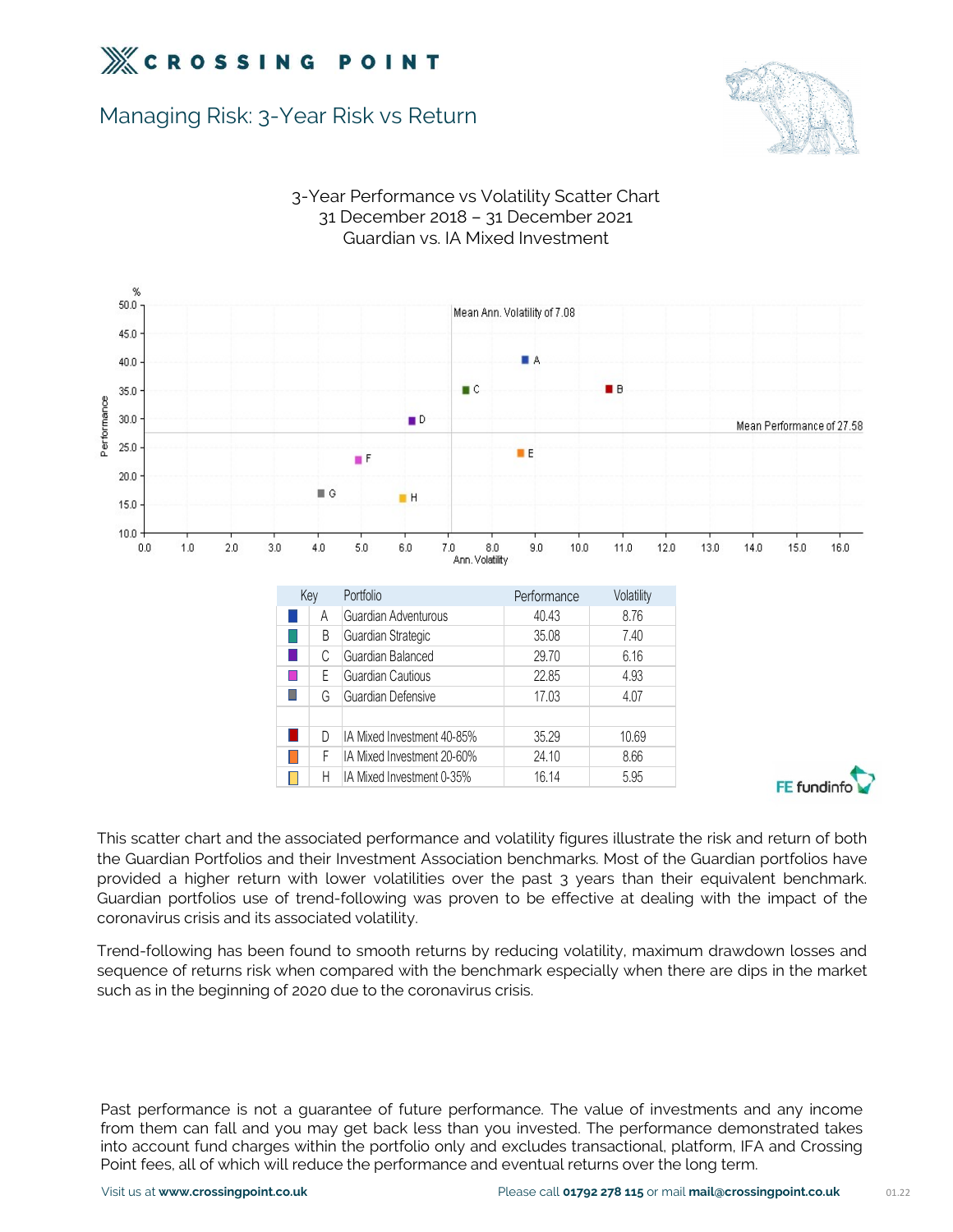

### Managing Risk: 3-Year Risk vs Return





# 3-Year Performance vs Volatility Scatter Chart **P O I N T**<br>
1 Risk vs Return<br>
1 Performance vs Volatility Scatter Chart<br>
31 December 2018 – 31 December 2021<br>
Guardian vs. IA Mixed Investment Guardian vs. IA Mixed Investment

Guardian portfolios use of trend-following was proven to be effective at dealing with the impact of the cuardian portfolios and their threstment Association benchmarks. Most of the Guardian portfolios have provided a highe D D M Mixed Investment 40-85% 35.29<br>
F M Mixed Investment 20-60% 24.10<br>
D H Mixed Investment 0-35% 16.14<br>
This scatter chart and the associated performance and volatility figures<br>
the Guardian Portfolios and their Investme This scatter chart and the associated performance and volatility figures illustrate the risk and return of both<br>the Guardian Portfolios and their Investment Associated performances. Most of the Guardian portfolios have<br>pro **EXECT THE CONSUMED TRANSFORM CONSUMPTE TO THE SET ON THE SURFORM THE SURFORM CONSUMPTED THE CONSUMPTED STATE OF CONTROLLATION** THE GUIRDING THE GUIRDING THE CONTROLLATION STATE CONTROLLATION CONTROLLATION CONTROLLATION CO This scatter chart and the associated performance and volatility figures illustrate the risk at the Guardian Portfolios and their Investment Association benchmarks. Most of the Guardia provided a higher return with lower v

coronavirus crisis and its associated volatility.<br>
Frend-following has been found to smooth returns by reducing volatility, maximum drawdown losses and<br>
sequence of returns risk when compared with the benchmark especially Trend-following has been found to smooth returns by reducing volatility, maximum drawdown losses and<br>sequence of returns risk when compared with the benchmark especially when there are dips in the market<br>such as in the beg intended of returns risk when compared with the benchmark especially when there are dips in the market<br>such as in the beginning of 2020 due to the coronavirus crisis.<br>The value of investments and any income<br>from them can f Point fees, all of which will reduce the performance and eventual returns over the leads in the beginning of 2020 due to the coronavirus crisis.<br>Past performance is not a guarantee of future performance. The value of inves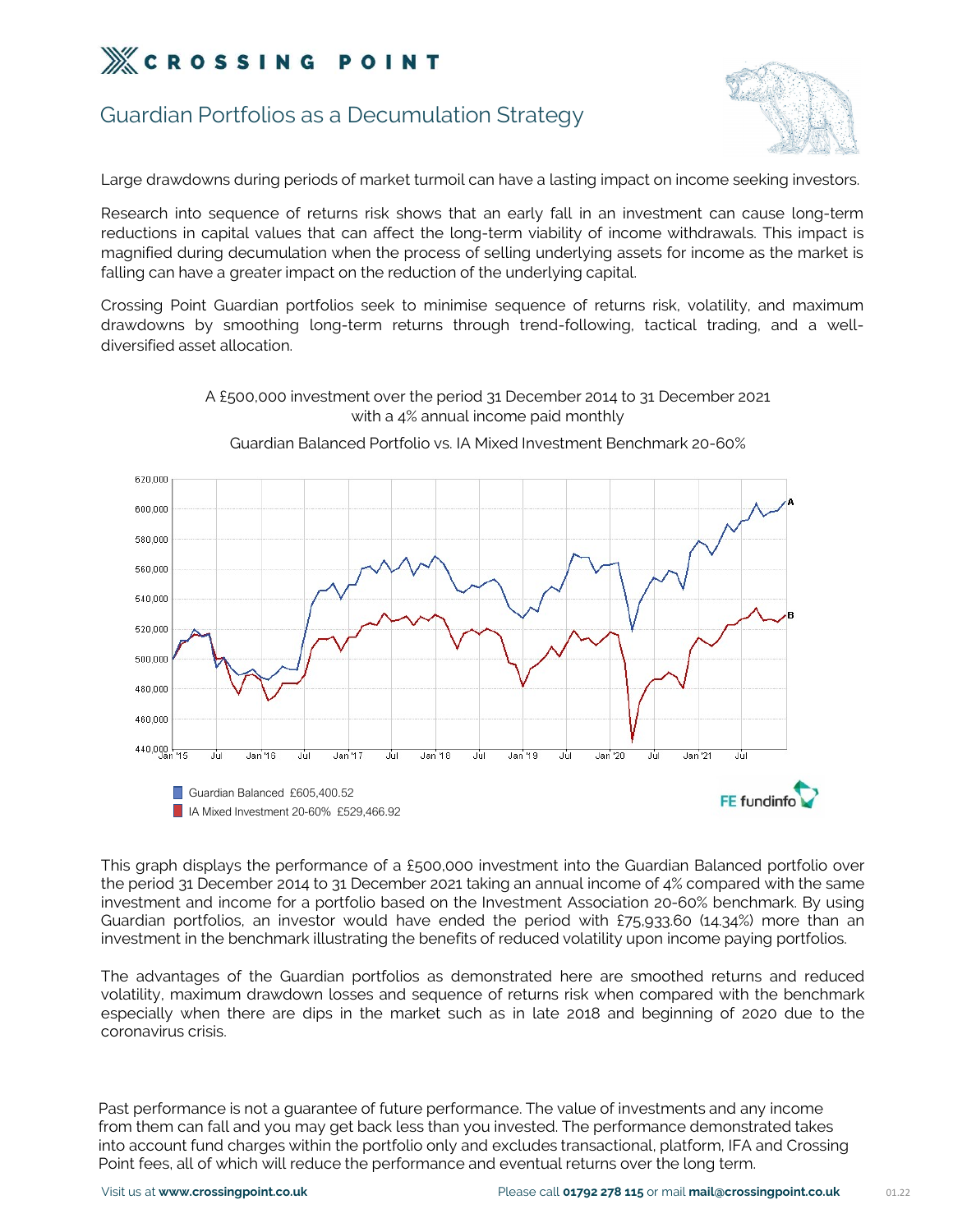

### Guardian Portfolios as a Decumulation Strategy



XX **C R O S S I N G P O I N T**<br>
Calardian Portfolios as a Decumulation Strategy<br>
Large drawdowns during periods of market turmoil can have a lasting impact on income seeking investors.<br>
Research into sequence of returns ri **EXECT ASSING POINT**<br>
Cuardian Portfolios as a Decumulation Strategy<br>
Large drawdowns during periods of market turmoil can have a lasting impact on income seeking investors.<br>
Research into sequence of returns risk shows th **Example 18 SOCK CONDER CONDER CONDER**<br>
For durardian Portfolios as a Decumulation Strategy<br>
Large drawdowns during periods of market turmoil can have a lasting impact on income seeking investors.<br>
Research into sequence o GROSTING POINT<br>Guardian Portfolios as a Decumulation Strategy<br>Large drawdowns during periods of market turmoil can have a lasting impact on income seeking investors.<br>Research into sequence of returns risk shows that an ear Guardian Portfolios as a Decumulation Strategy<br>Large drawdowns during periods of market turmoil can have a lasting impact on income seeking invest<br>Research into sequence of returns risk shows that an early fall in an inves Guardian Portrollos as a Decumulation Strategy<br>
Large drawdowns during periods of market turmoil can have a lasting impact on income seeking investors.<br>
Research into sequence of returns risk shows that an early fall in an Large drawdowns during periods of market turmoil can have a lasting impact on income seeking investors.<br>Research into sequence of returns risk shows that an early fall in an investment can cause long-term<br>reductions in cap Large drawdowns during periods of market turmoil<br>Research into sequence of returns risk shows tha<br>reductions in capital values that can affect the lor<br>magnified during decumulation when the process of<br>falling can have a gr



### with a 4% annual income paid monthly Guardian Balanced Portfolio vs. IA Mixed Investment Benchmark 20-60%

A £500,000 investment over the period 31 December 2014 to 31 December 2021

**Example 1998**<br> **Example 1999**<br> **Example 1999**<br> **Example 1999**<br> **Example 1999**<br> **Example 1999**<br> **Example 1999**<br> **Example 1999**<br> **Example 1999**<br> **Example 1999**<br> **Example 1999**<br> **Example 1999**<br> **Example 1999**<br> **Example 1999 Example 19 Controllers of the Guardian Balanced £605,400.52**<br> **This graph displays the performance of a £500.000 investment into the Guardian Balanced portfolio over<br>
the period 31 December 2014 to 31 December 2021 taking Example 10** In Mixed Investment 20-60% £529,466.92<br>
This graph displays the performance of a £500,000 investment into the Guardian Balanced portfolio over<br>
the period 31 December 2014 to 31 December 2021 taking an annual This graph displays the performance of a £500.000 investment into the Guardian Balanced portfolio over<br>the period 31 December 2014 to 31 December 2021 taking an annual income of 4% compared with the same<br>investment and inc This graph displays the performance of a £500<br>the period 31 December 2014 to 31 December 2<br>investment and income for a portfolio based c<br>Guardian portfolios, an investor would have<br>investment in the benchmark illustrating

Guardian portfolios, an investor would have ended the period with £75,933.60 (14,34%) more than an investment in the benchmark illustrating the benefits of reduced volatility upon income paying portfolios.<br>The advantages o

from them can fall and you may get back less than you invested. The performance demonstrated takes into account fund charges within the portfolio only and excludes transactional, platform, IFA and Crossing Point fees, all of which will reduce the performance and eventual returns over the long term.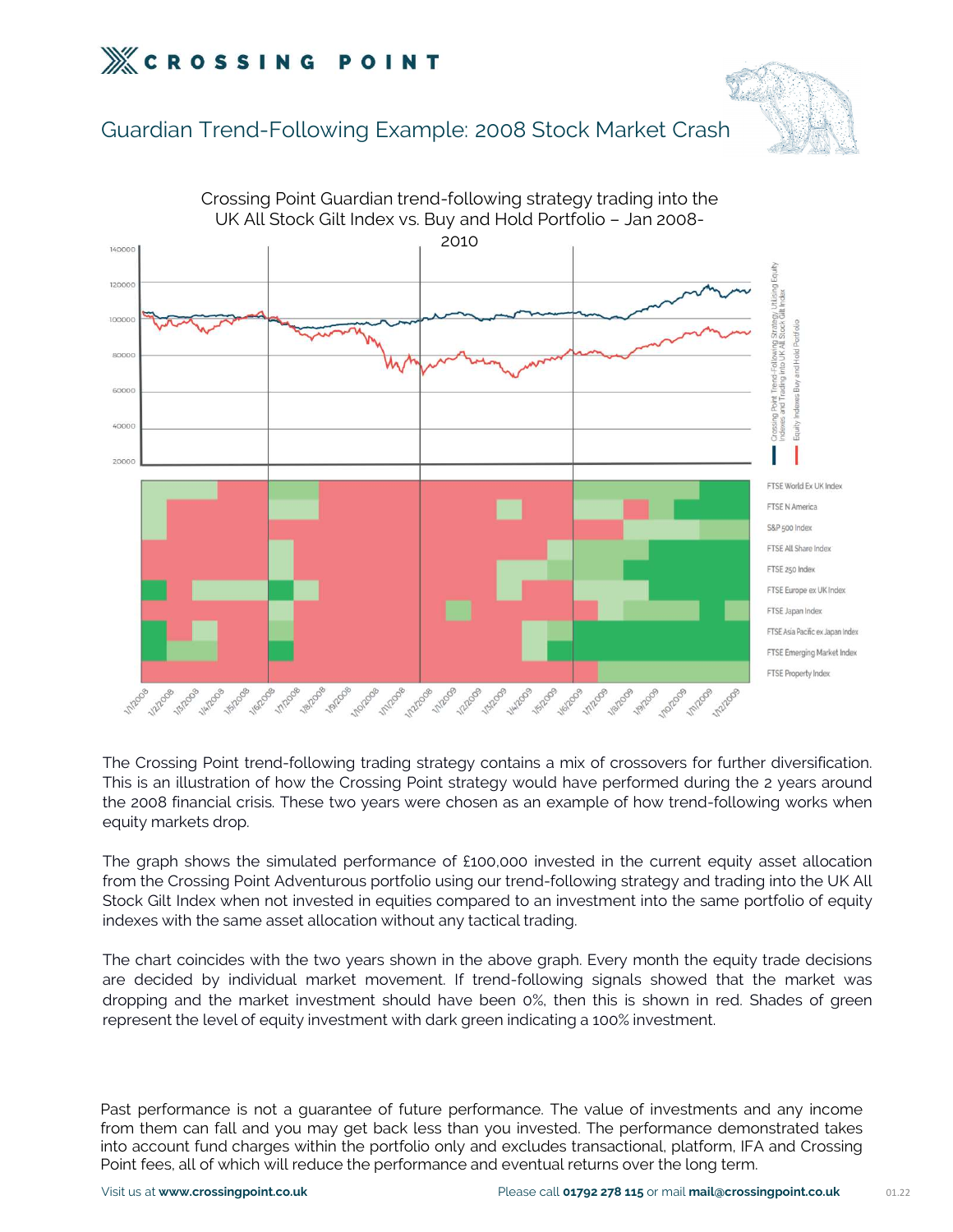

### Guardian Trend-Following Example: 2008 Stock Market Crash



Crossing Point Guardian trend-following strategy trading into the

The Crossing Point trend-following trading strategy contains a mix of crossovers for further diversification.<br>This is an illustration of how the Crossing Point strategy would have performed during the 2 years around<br>the 20 For the Crossing Point trend-following trading strategy contains a mix of crossovers for further diversification.<br>This is an illustration of how the Crossing Point strategy would have performed during the 2 years around<br>t The Crossing Point trend-following trading strategy contains a mix of crossovers for further diversification.<br>This is an illustration of how the Crossing Point strategy would have performed during the 2 years around<br>the 20 The Crossing Point trend-following trading strategy contains a mix of crossovers for further This is an illustration of how the Crossing Point strategy would have performed during the 2 the 2008 financial crisis. These two

This is an illustration of how the Crossing Point strategy would have performed during the 2 years around<br>This is an illustration of how the Crossing Point strategy would have performed during the 2 years around<br>the 2008 f

The 2008 financial crisis. These two years were chosen as an example of how trend-following works when equity markets drop.<br>The graph shows the simulated performance of £100,000 invested in the current equity asset allocat are to market a books. These the years were enserned an example of non tenta returning wents when the equity markets drop.<br>The graph shows the simulated performance of £100,000 invested in the current equity asset allocati represent the level of equity investment with dark green indicating a 100% investment.<br>The graph shows the simulated performance of £100,000 invested in the current equity asset allocation<br>from the Crossing Point Adventuro indexes with the same asset allocation without any tactical trading.<br>
The chart coincides with the two years shown in the above graph. Every month the equity trade decisions<br>
are decided by individual market movement. If t The chart coincides with the two years shown in the above graph. Every month the equity trade decisions<br>are decided by individual market movement. If trend-following signals showed that the market was<br>dropping and the mark The chart coincides with the two years shown in the above graph. Every month the equity trade decisions<br>are decided by individual market investment. If trend-following signals showed that the market was<br>dropping and the ma

are decided by individual market movement. If trend-following signals showed that the market was<br>dropping and the market investment should have been 0%, then this is shown in red. Shades of green<br>represent the level of equ